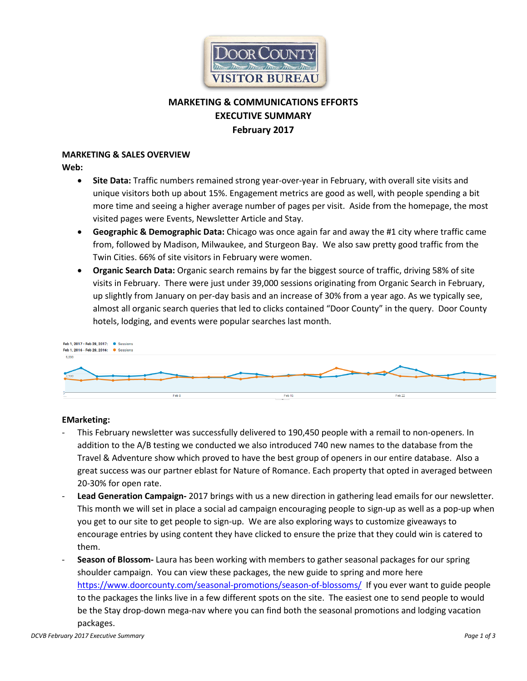

# **MARKETING & COMMUNICATIONS EFFORTS EXECUTIVE SUMMARY February 2017**

#### **MARKETING & SALES OVERVIEW**

**Web:**

- **Site Data:** Traffic numbers remained strong year-over-year in February, with overall site visits and unique visitors both up about 15%. Engagement metrics are good as well, with people spending a bit more time and seeing a higher average number of pages per visit. Aside from the homepage, the most visited pages were Events, Newsletter Article and Stay.
- **Geographic & Demographic Data:** Chicago was once again far and away the #1 city where traffic came from, followed by Madison, Milwaukee, and Sturgeon Bay. We also saw pretty good traffic from the Twin Cities. 66% of site visitors in February were women.
- **Organic Search Data:** Organic search remains by far the biggest source of traffic, driving 58% of site visits in February. There were just under 39,000 sessions originating from Organic Search in February, up slightly from January on per-day basis and an increase of 30% from a year ago. As we typically see, almost all organic search queries that led to clicks contained "Door County" in the query. Door County hotels, lodging, and events were popular searches last month.



### **EMarketing:**

- This February newsletter was successfully delivered to 190,450 people with a remail to non-openers. In addition to the A/B testing we conducted we also introduced 740 new names to the database from the Travel & Adventure show which proved to have the best group of openers in our entire database. Also a great success was our partner eblast for Nature of Romance. Each property that opted in averaged between 20-30% for open rate.
- **Lead Generation Campaign-** 2017 brings with us a new direction in gathering lead emails for our newsletter. This month we will set in place a social ad campaign encouraging people to sign-up as well as a pop-up when you get to our site to get people to sign-up. We are also exploring ways to customize giveaways to encourage entries by using content they have clicked to ensure the prize that they could win is catered to them.
- **Season of Blossom-** Laura has been working with members to gather seasonal packages for our spring shoulder campaign. You can view these packages, the new guide to spring and more here <https://www.doorcounty.com/seasonal-promotions/season-of-blossoms/> If you ever want to guide people to the packages the links live in a few different spots on the site. The easiest one to send people to would be the Stay drop-down mega-nav where you can find both the seasonal promotions and lodging vacation packages.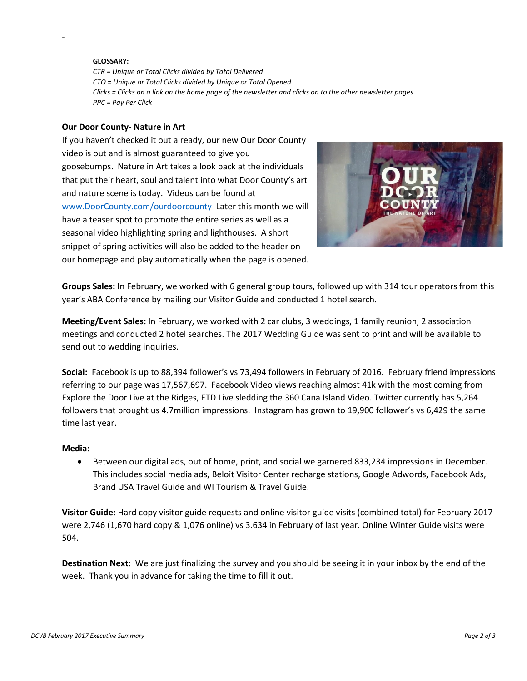#### **GLOSSARY:**

-

*CTR = Unique or Total Clicks divided by Total Delivered CTO = Unique or Total Clicks divided by Unique or Total Opened Clicks = Clicks on a link on the home page of the newsletter and clicks on to the other newsletter pages PPC = Pay Per Click* 

#### **Our Door County- Nature in Art**

If you haven't checked it out already, our new Our Door County video is out and is almost guaranteed to give you goosebumps. Nature in Art takes a look back at the individuals that put their heart, soul and talent into what Door County's art and nature scene is today. Videos can be found at [www.DoorCounty.com/ourdoorcounty](http://www.doorcounty.com/ourdoorcounty) Later this month we will have a teaser spot to promote the entire series as well as a seasonal video highlighting spring and lighthouses. A short snippet of spring activities will also be added to the header on our homepage and play automatically when the page is opened.



**Groups Sales:** In February, we worked with 6 general group tours, followed up with 314 tour operators from this year's ABA Conference by mailing our Visitor Guide and conducted 1 hotel search.

**Meeting/Event Sales:** In February, we worked with 2 car clubs, 3 weddings, 1 family reunion, 2 association meetings and conducted 2 hotel searches. The 2017 Wedding Guide was sent to print and will be available to send out to wedding inquiries.

**Social:** Facebook is up to 88,394 follower's vs 73,494 followers in February of 2016. February friend impressions referring to our page was 17,567,697. Facebook Video views reaching almost 41k with the most coming from Explore the Door Live at the Ridges, ETD Live sledding the 360 Cana Island Video. Twitter currently has 5,264 followers that brought us 4.7million impressions. Instagram has grown to 19,900 follower's vs 6,429 the same time last year.

#### **Media:**

• Between our digital ads, out of home, print, and social we garnered 833,234 impressions in December. This includes social media ads, Beloit Visitor Center recharge stations, Google Adwords, Facebook Ads, Brand USA Travel Guide and WI Tourism & Travel Guide.

**Visitor Guide:** Hard copy visitor guide requests and online visitor guide visits (combined total) for February 2017 were 2,746 (1,670 hard copy & 1,076 online) vs 3.634 in February of last year. Online Winter Guide visits were 504.

**Destination Next:** We are just finalizing the survey and you should be seeing it in your inbox by the end of the week. Thank you in advance for taking the time to fill it out.